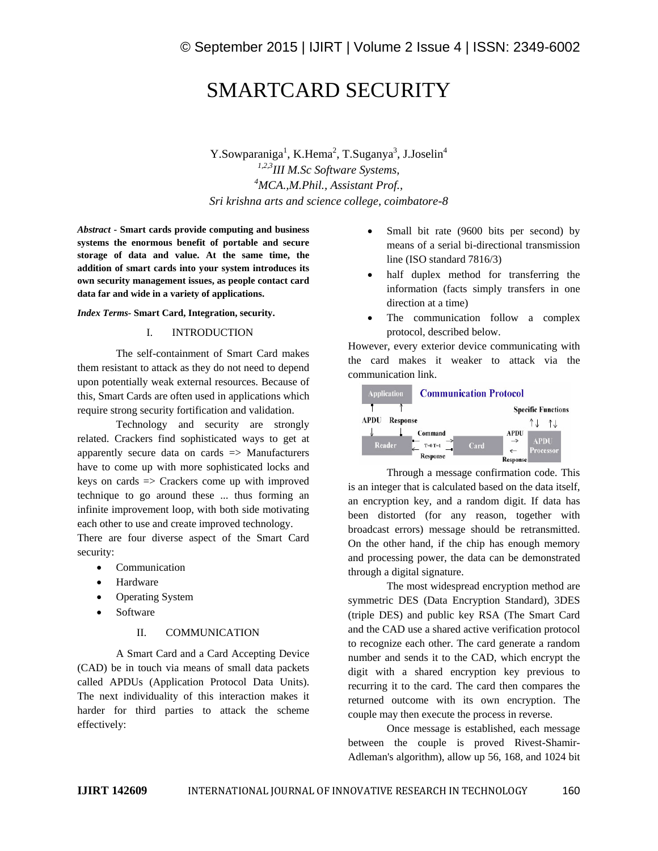# SMARTCARD SECURITY

Y.Sowparaniga<sup>1</sup>, K.Hema<sup>2</sup>, T.Suganya<sup>3</sup>, J.Joselin<sup>4</sup> *1,2,3III M.Sc Software Systems, <sup>4</sup>MCA.,M.Phil., Assistant Prof., Sri krishna arts and science college, coimbatore-8*

*Abstract* **- Smart cards provide computing and business systems the enormous benefit of portable and secure storage of data and value. At the same time, the addition of smart cards into your system introduces its own security management issues, as people contact card data far and wide in a variety of applications.**

#### *Index Terms-* **Smart Card, Integration, security.**

#### I. INTRODUCTION

The self-containment of Smart Card makes them resistant to attack as they do not need to depend upon potentially weak external resources. Because of this, Smart Cards are often used in applications which require strong security fortification and validation.

Technology and security are strongly related. Crackers find sophisticated ways to get at apparently secure data on cards => Manufacturers have to come up with more sophisticated locks and keys on cards => Crackers come up with improved technique to go around these ... thus forming an infinite improvement loop, with both side motivating each other to use and create improved technology.

There are four diverse aspect of the Smart Card security:

- Communication
- Hardware
- Operating System
- Software

## II. COMMUNICATION

A Smart Card and a Card Accepting Device (CAD) be in touch via means of small data packets called APDUs (Application Protocol Data Units). The next individuality of this interaction makes it harder for third parties to attack the scheme effectively:

- Small bit rate (9600 bits per second) by means of a serial bi-directional transmission line (ISO standard 7816/3)
- half duplex method for transferring the information (facts simply transfers in one direction at a time)
- The communication follow a complex protocol, described below.

However, every exterior device communicating with the card makes it weaker to attack via the communication link.



Through a message confirmation code. This is an integer that is calculated based on the data itself, an encryption key, and a random digit. If data has been distorted (for any reason, together with broadcast errors) message should be retransmitted. On the other hand, if the chip has enough memory and processing power, the data can be demonstrated through a digital signature.

The most widespread encryption method are symmetric DES (Data Encryption Standard), 3DES (triple DES) and public key RSA (The Smart Card and the CAD use a shared active verification protocol to recognize each other. The card generate a random number and sends it to the CAD, which encrypt the digit with a shared encryption key previous to recurring it to the card. The card then compares the returned outcome with its own encryption. The couple may then execute the process in reverse.

Once message is established, each message between the couple is proved Rivest-Shamir-Adleman's algorithm), allow up 56, 168, and 1024 bit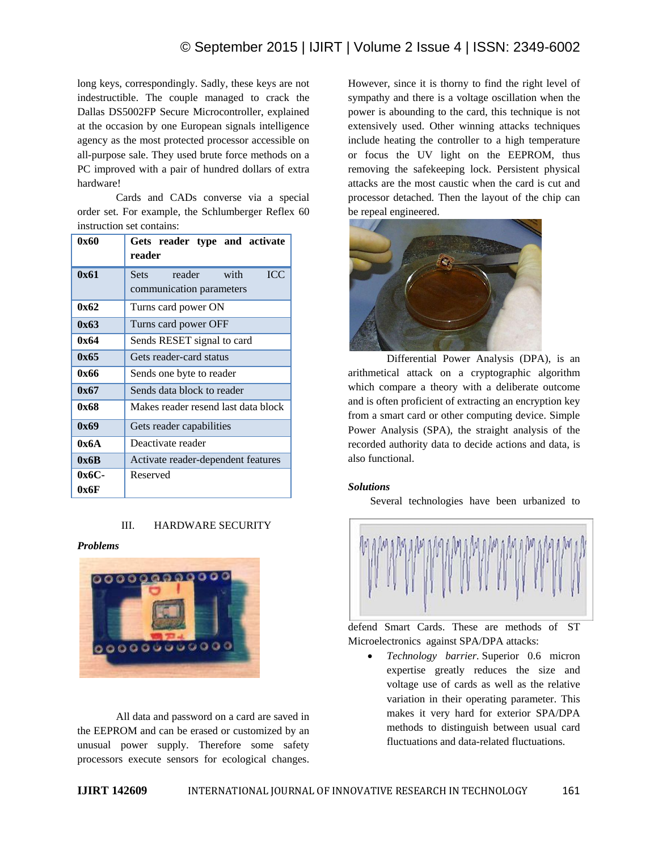long keys, correspondingly. Sadly, these keys are not indestructible. The couple managed to crack the Dallas DS5002FP Secure Microcontroller, explained at the occasion by one European signals intelligence agency as the most protected processor accessible on all-purpose sale. They used brute force methods on a PC improved with a pair of hundred dollars of extra hardware!

Cards and CADs converse via a special order set. For example, the Schlumberger Reflex 60 instruction set contains:

| 0x60  | Gets reader type and activate<br>reader                                 |
|-------|-------------------------------------------------------------------------|
| 0x61  | <b>ICC</b><br>with<br>reader<br><b>Sets</b><br>communication parameters |
| 0x62  | Turns card power ON                                                     |
| 0x63  | Turns card power OFF                                                    |
| 0x64  | Sends RESET signal to card                                              |
| 0x65  | Gets reader-card status                                                 |
| 0x66  | Sends one byte to reader                                                |
| 0x67  | Sends data block to reader                                              |
| 0x68  | Makes reader resend last data block                                     |
| 0x69  | Gets reader capabilities                                                |
| 0x6A  | Deactivate reader                                                       |
| 0x6B  | Activate reader-dependent features                                      |
| 0х6С- | Reserved                                                                |
| 0x6F  |                                                                         |

## III. HARDWARE SECURITY

#### *Problems*



All data and password on a card are saved in the EEPROM and can be erased or customized by an unusual power supply. Therefore some safety processors execute sensors for ecological changes.

However, since it is thorny to find the right level of sympathy and there is a voltage oscillation when the power is abounding to the card, this technique is not extensively used. Other winning attacks techniques include heating the controller to a high temperature or focus the UV light on the EEPROM, thus removing the safekeeping lock. Persistent physical attacks are the most caustic when the card is cut and processor detached. Then the layout of the chip can be repeal engineered.



Differential Power Analysis (DPA), is an arithmetical attack on a cryptographic algorithm which compare a theory with a deliberate outcome and is often proficient of extracting an encryption key from a smart card or other computing device. Simple Power Analysis (SPA), the straight analysis of the recorded authority data to decide actions and data, is also functional.

#### *Solutions*

Several technologies have been urbanized to



defend Smart Cards. These are methods of ST Microelectronics against SPA/DPA attacks:

 *Technology barrier.* Superior 0.6 micron expertise greatly reduces the size and voltage use of cards as well as the relative variation in their operating parameter. This makes it very hard for exterior SPA/DPA methods to distinguish between usual card fluctuations and data-related fluctuations.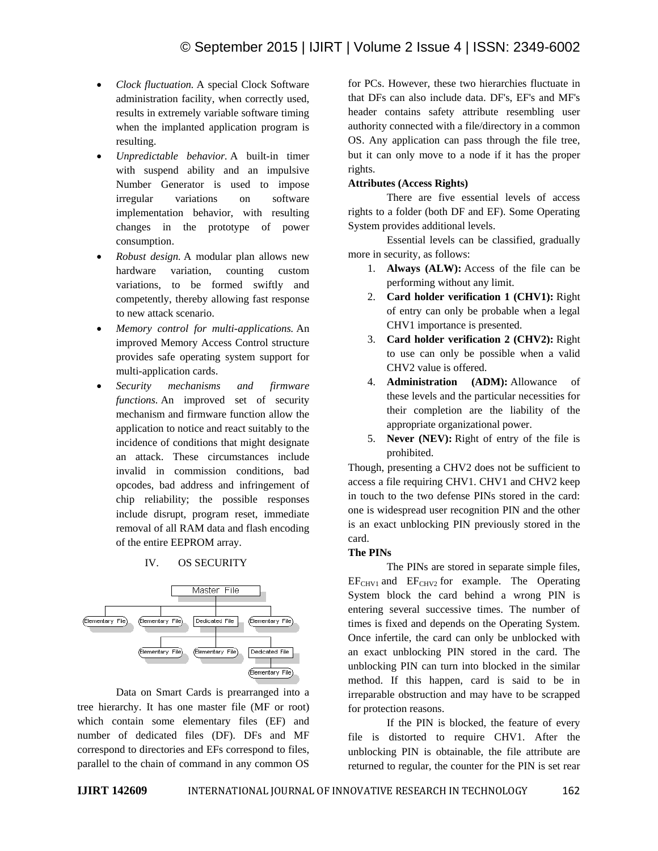- *Clock fluctuation.* A special Clock Software administration facility, when correctly used, results in extremely variable software timing when the implanted application program is resulting.
- *Unpredictable behavior.* A built-in timer with suspend ability and an impulsive Number Generator is used to impose irregular variations on software implementation behavior, with resulting changes in the prototype of power consumption.
- *Robust design.* A modular plan allows new hardware variation, counting custom variations, to be formed swiftly and competently, thereby allowing fast response to new attack scenario.
- *Memory control for multi-applications.* An improved Memory Access Control structure provides safe operating system support for multi-application cards.
- *Security mechanisms and firmware functions.* An improved set of security mechanism and firmware function allow the application to notice and react suitably to the incidence of conditions that might designate an attack. These circumstances include invalid in commission conditions, bad opcodes, bad address and infringement of chip reliability; the possible responses include disrupt, program reset, immediate removal of all RAM data and flash encoding of the entire EEPROM array.

## IV. OS SECURITY



Data on Smart Cards is prearranged into a tree hierarchy. It has one master file (MF or root) which contain some elementary files (EF) and number of dedicated files (DF). DFs and MF correspond to directories and EFs correspond to files, parallel to the chain of command in any common OS for PCs. However, these two hierarchies fluctuate in that DFs can also include data. DF's, EF's and MF's header contains safety attribute resembling user authority connected with a file/directory in a common OS. Any application can pass through the file tree, but it can only move to a node if it has the proper rights.

#### **Attributes (Access Rights)**

There are five essential levels of access rights to a folder (both DF and EF). Some Operating System provides additional levels.

Essential levels can be classified, gradually more in security, as follows:

- 1. **Always (ALW):** Access of the file can be performing without any limit.
- 2. **Card holder verification 1 (CHV1):** Right of entry can only be probable when a legal CHV1 importance is presented.
- 3. **Card holder verification 2 (CHV2):** Right to use can only be possible when a valid CHV2 value is offered.
- 4. **Administration (ADM):** Allowance of these levels and the particular necessities for their completion are the liability of the appropriate organizational power.
- 5. **Never (NEV):** Right of entry of the file is prohibited.

Though, presenting a CHV2 does not be sufficient to access a file requiring CHV1. CHV1 and CHV2 keep in touch to the two defense PINs stored in the card: one is widespread user recognition PIN and the other is an exact unblocking PIN previously stored in the card.

#### **The PINs**

The PINs are stored in separate simple files,  $EF<sub>CHV1</sub>$  and  $EF<sub>CHV2</sub>$  for example. The Operating System block the card behind a wrong PIN is entering several successive times. The number of times is fixed and depends on the Operating System. Once infertile, the card can only be unblocked with an exact unblocking PIN stored in the card. The unblocking PIN can turn into blocked in the similar method. If this happen, card is said to be in irreparable obstruction and may have to be scrapped for protection reasons.

If the PIN is blocked, the feature of every file is distorted to require CHV1. After the unblocking PIN is obtainable, the file attribute are returned to regular, the counter for the PIN is set rear